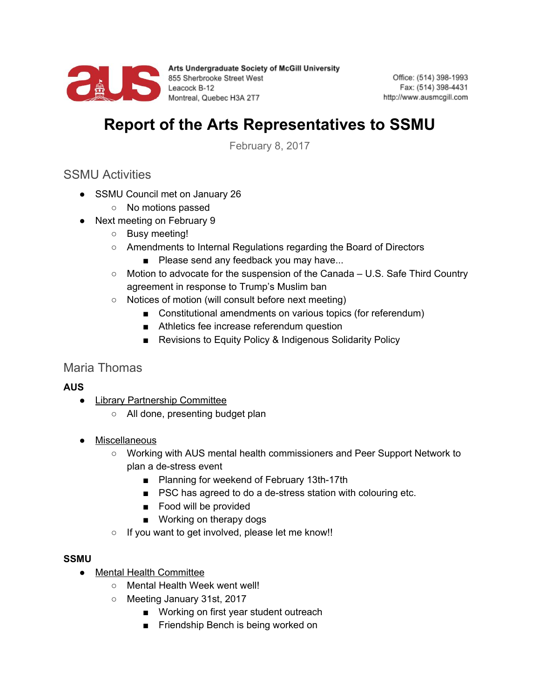

Arts Undergraduate Society of McGill University Arts Undergraduate Society<br>855 Sherbrooke Street West<br>Leacock B-12<br>Montreal, Quebec H3A 2T7 Montreal, Quebec H3A 2T7

Office: (514) 398-1993 Fax: (514) 398-4431 http://www.ausmcgill.com

# **Report of the Arts Representatives to SSMU**

February 8, 2017

## SSMU Activities

- SSMU Council met on January 26
	- No motions passed
- Next meeting on February 9
	- Busy meeting!
	- Amendments to Internal Regulations regarding the Board of Directors
		- Please send any feedback you may have...
	- $\circ$  Motion to advocate for the suspension of the Canada U.S. Safe Third Country agreement in response to Trump's Muslim ban
	- Notices of motion (will consult before next meeting)
		- Constitutional amendments on various topics (for referendum)
		- Athletics fee increase referendum question
		- Revisions to Equity Policy & Indigenous Solidarity Policy

## Maria Thomas

#### **AUS**

- Library Partnership Committee
	- All done, presenting budget plan
- Miscellaneous
	- Working with AUS mental health commissioners and Peer Support Network to plan a de-stress event
		- Planning for weekend of February 13th-17th
		- PSC has agreed to do a de-stress station with colouring etc.
		- Food will be provided
		- Working on therapy dogs
	- If you want to get involved, please let me know!!

#### **SSMU**

- Mental Health Committee
	- Mental Health Week went well!
	- Meeting January 31st, 2017
		- Working on first year student outreach
		- Friendship Bench is being worked on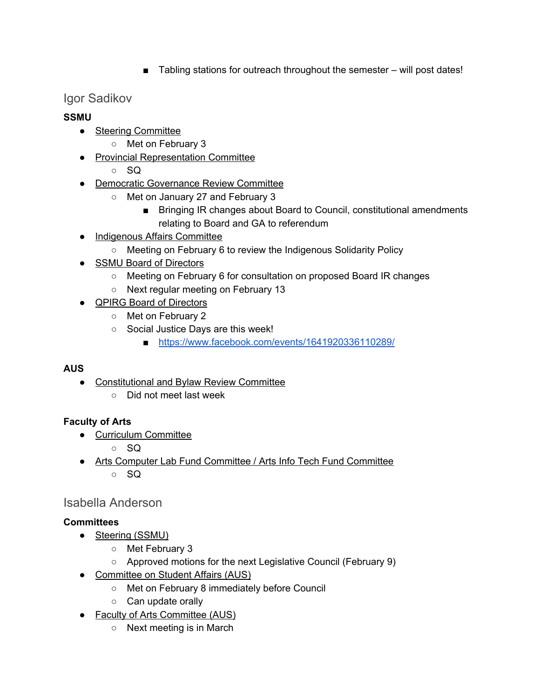■ Tabling stations for outreach throughout the semester – will post dates!

## Igor Sadikov

#### **SSMU**

- Steering Committee
	- Met on February 3
- Provincial Representation Committee
	- $\circ$  SQ
- Democratic Governance Review Committee
	- Met on January 27 and February 3
		- Bringing IR changes about Board to Council, constitutional amendments relating to Board and GA to referendum
- Indigenous Affairs Committee
	- Meeting on February 6 to review the Indigenous Solidarity Policy
- SSMU Board of Directors
	- Meeting on February 6 for consultation on proposed Board IR changes
	- Next regular meeting on February 13
- QPIRG Board of Directors
	- Met on February 2
	- Social Justice Days are this week!
		- <https://www.facebook.com/events/1641920336110289/>

## **AUS**

- Constitutional and Bylaw Review Committee
	- Did not meet last week

## **Faculty of Arts**

- Curriculum Committee
	- SQ
- Arts Computer Lab Fund Committee / Arts Info Tech Fund Committee  $\circ$  SQ

## Isabella Anderson

## **Committees**

- Steering (SSMU)
	- Met February 3
	- Approved motions for the next Legislative Council (February 9)
- Committee on Student Affairs (AUS)
	- Met on February 8 immediately before Council
	- Can update orally
- Faculty of Arts Committee (AUS)
	- Next meeting is in March